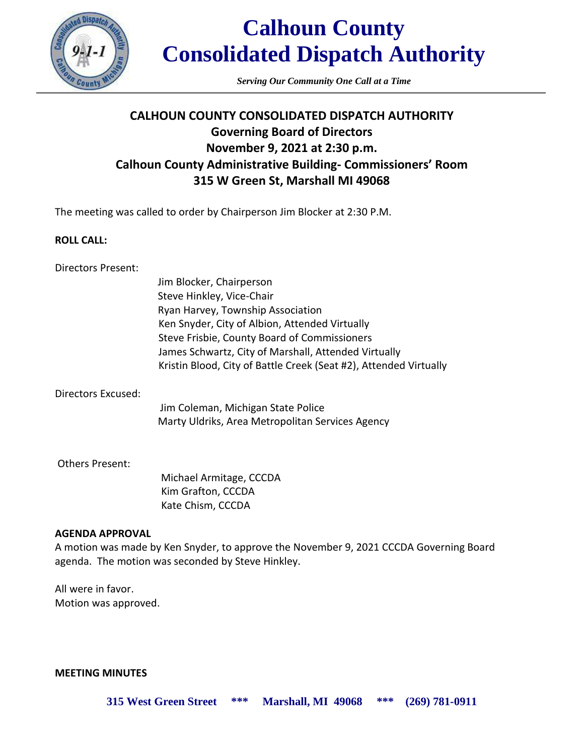

*Serving Our Community One Call at a Time*

### **CALHOUN COUNTY CONSOLIDATED DISPATCH AUTHORITY Governing Board of Directors November 9, 2021 at 2:30 p.m. Calhoun County Administrative Building- Commissioners' Room 315 W Green St, Marshall MI 49068**

The meeting was called to order by Chairperson Jim Blocker at 2:30 P.M.

### **ROLL CALL:**

| Directors Present:     |                                                                   |
|------------------------|-------------------------------------------------------------------|
|                        | Jim Blocker, Chairperson                                          |
|                        | Steve Hinkley, Vice-Chair                                         |
|                        | Ryan Harvey, Township Association                                 |
|                        | Ken Snyder, City of Albion, Attended Virtually                    |
|                        | Steve Frisbie, County Board of Commissioners                      |
|                        | James Schwartz, City of Marshall, Attended Virtually              |
|                        | Kristin Blood, City of Battle Creek (Seat #2), Attended Virtually |
| Directors Excused:     |                                                                   |
|                        | Jim Coleman, Michigan State Police                                |
|                        | Marty Uldriks, Area Metropolitan Services Agency                  |
| <b>Others Present:</b> |                                                                   |
|                        | Michael Armitage, CCCDA                                           |
|                        | Kim Grafton, CCCDA                                                |

Kate Chism, CCCDA

### **AGENDA APPROVAL**

A motion was made by Ken Snyder, to approve the November 9, 2021 CCCDA Governing Board agenda. The motion was seconded by Steve Hinkley.

All were in favor. Motion was approved.

**MEETING MINUTES**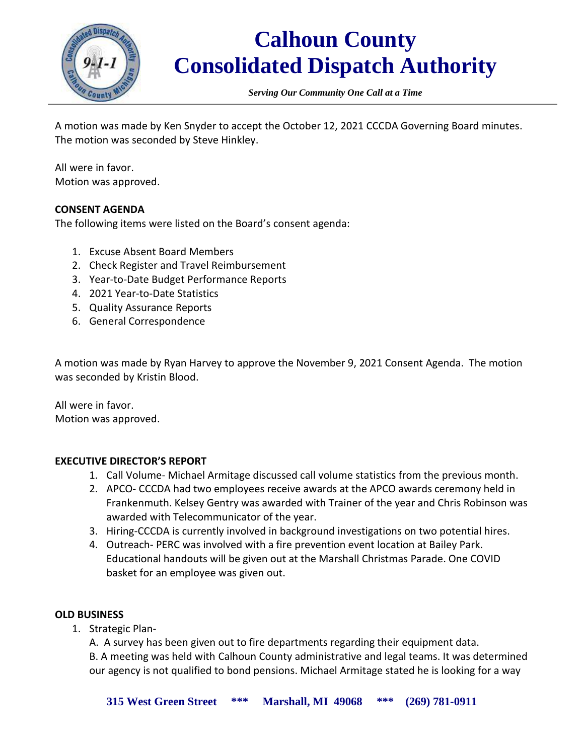

*Serving Our Community One Call at a Time*

A motion was made by Ken Snyder to accept the October 12, 2021 CCCDA Governing Board minutes. The motion was seconded by Steve Hinkley.

All were in favor. Motion was approved.

### **CONSENT AGENDA**

The following items were listed on the Board's consent agenda:

- 1. Excuse Absent Board Members
- 2. Check Register and Travel Reimbursement
- 3. Year-to-Date Budget Performance Reports
- 4. 2021 Year-to-Date Statistics
- 5. Quality Assurance Reports
- 6. General Correspondence

A motion was made by Ryan Harvey to approve the November 9, 2021 Consent Agenda. The motion was seconded by Kristin Blood.

All were in favor. Motion was approved.

### **EXECUTIVE DIRECTOR'S REPORT**

- 1. Call Volume- Michael Armitage discussed call volume statistics from the previous month.
- 2. APCO- CCCDA had two employees receive awards at the APCO awards ceremony held in Frankenmuth. Kelsey Gentry was awarded with Trainer of the year and Chris Robinson was awarded with Telecommunicator of the year.
- 3. Hiring-CCCDA is currently involved in background investigations on two potential hires.
- 4. Outreach- PERC was involved with a fire prevention event location at Bailey Park. Educational handouts will be given out at the Marshall Christmas Parade. One COVID basket for an employee was given out.

### **OLD BUSINESS**

1. Strategic Plan-

A. A survey has been given out to fire departments regarding their equipment data. B. A meeting was held with Calhoun County administrative and legal teams. It was determined our agency is not qualified to bond pensions. Michael Armitage stated he is looking for a way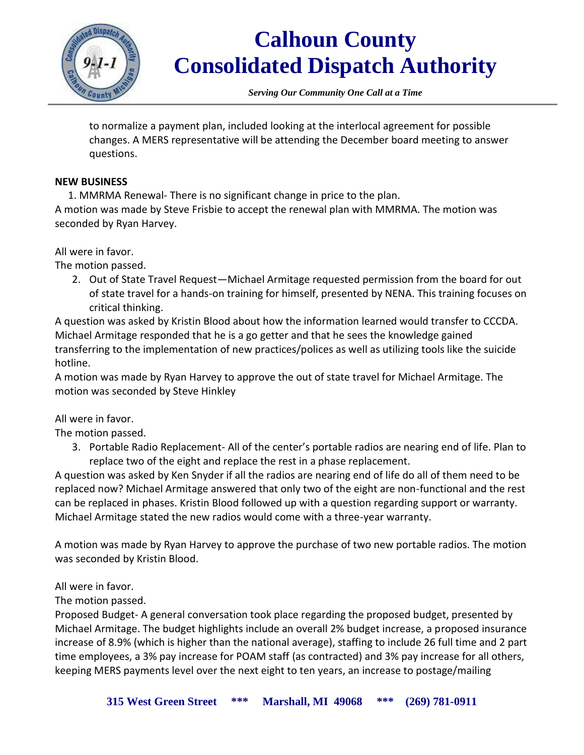

*Serving Our Community One Call at a Time*

to normalize a payment plan, included looking at the interlocal agreement for possible changes. A MERS representative will be attending the December board meeting to answer questions.

### **NEW BUSINESS**

1. MMRMA Renewal- There is no significant change in price to the plan.

A motion was made by Steve Frisbie to accept the renewal plan with MMRMA. The motion was seconded by Ryan Harvey.

All were in favor.

The motion passed.

2. Out of State Travel Request—Michael Armitage requested permission from the board for out of state travel for a hands-on training for himself, presented by NENA. This training focuses on critical thinking.

A question was asked by Kristin Blood about how the information learned would transfer to CCCDA. Michael Armitage responded that he is a go getter and that he sees the knowledge gained transferring to the implementation of new practices/polices as well as utilizing tools like the suicide hotline.

A motion was made by Ryan Harvey to approve the out of state travel for Michael Armitage. The motion was seconded by Steve Hinkley

### All were in favor.

The motion passed.

3. Portable Radio Replacement- All of the center's portable radios are nearing end of life. Plan to replace two of the eight and replace the rest in a phase replacement.

A question was asked by Ken Snyder if all the radios are nearing end of life do all of them need to be replaced now? Michael Armitage answered that only two of the eight are non-functional and the rest can be replaced in phases. Kristin Blood followed up with a question regarding support or warranty. Michael Armitage stated the new radios would come with a three-year warranty.

A motion was made by Ryan Harvey to approve the purchase of two new portable radios. The motion was seconded by Kristin Blood.

### All were in favor.

The motion passed.

Proposed Budget- A general conversation took place regarding the proposed budget, presented by Michael Armitage. The budget highlights include an overall 2% budget increase, a proposed insurance increase of 8.9% (which is higher than the national average), staffing to include 26 full time and 2 part time employees, a 3% pay increase for POAM staff (as contracted) and 3% pay increase for all others, keeping MERS payments level over the next eight to ten years, an increase to postage/mailing